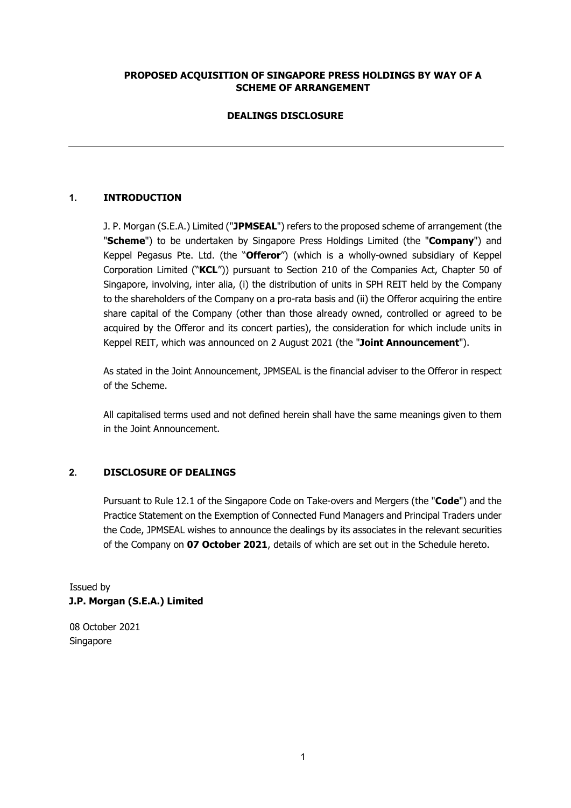## **PROPOSED ACQUISITION OF SINGAPORE PRESS HOLDINGS BY WAY OF A SCHEME OF ARRANGEMENT**

## **DEALINGS DISCLOSURE**

## **1. INTRODUCTION**

J. P. Morgan (S.E.A.) Limited ("**JPMSEAL**") refers to the proposed scheme of arrangement (the "**Scheme**") to be undertaken by Singapore Press Holdings Limited (the "**Company**") and Keppel Pegasus Pte. Ltd. (the "**Offeror**") (which is a wholly-owned subsidiary of Keppel Corporation Limited ("**KCL**")) pursuant to Section 210 of the Companies Act, Chapter 50 of Singapore, involving, inter alia, (i) the distribution of units in SPH REIT held by the Company to the shareholders of the Company on a pro-rata basis and (ii) the Offeror acquiring the entire share capital of the Company (other than those already owned, controlled or agreed to be acquired by the Offeror and its concert parties), the consideration for which include units in Keppel REIT, which was announced on 2 August 2021 (the "**Joint Announcement**").

As stated in the Joint Announcement, JPMSEAL is the financial adviser to the Offeror in respect of the Scheme.

All capitalised terms used and not defined herein shall have the same meanings given to them in the Joint Announcement.

### **2. DISCLOSURE OF DEALINGS**

Pursuant to Rule 12.1 of the Singapore Code on Take-overs and Mergers (the "**Code**") and the Practice Statement on the Exemption of Connected Fund Managers and Principal Traders under the Code, JPMSEAL wishes to announce the dealings by its associates in the relevant securities of the Company on **07 October 2021**, details of which are set out in the Schedule hereto.

Issued by **J.P. Morgan (S.E.A.) Limited** 

08 October 2021 Singapore